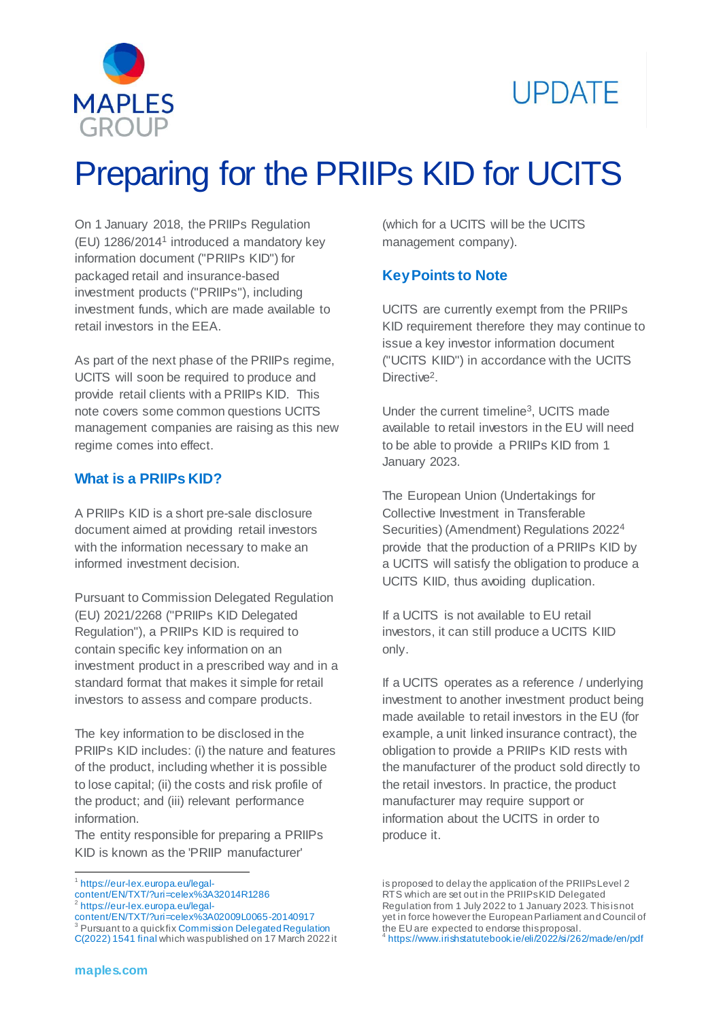



# Preparing for the PRIIPs KID for UCITS

On 1 January 2018, the PRIIPs Regulation [\(EU\) 1286/2014](https://eur-lex.europa.eu/legal-content/EN/TXT/?uri=celex%3A32014R1286)<sup>1</sup> introduced a mandatory key information document ("PRIIPs KID") for packaged retail and insurance-based investment products ("PRIIPs"), including investment funds, which are made available to retail investors in the EEA.

As part of the next phase of the PRIIPs regime, UCITS will soon be required to produce and provide retail clients with a PRIIPs KID. This note covers some common questions UCITS management companies are raising as this new regime comes into effect.

#### **What is a PRIIPs KID?**

A PRIIPs KID is a short pre-sale disclosure document aimed at providing retail investors with the information necessary to make an informed investment decision.

Pursuant to Commission Delegated Regulation (EU) 2021/2268 ("PRIIPs KID Delegated Regulation"), a PRIIPs KID is required to contain specific key information on an investment product in a prescribed way and in a standard format that makes it simple for retail investors to assess and compare products.

The key information to be disclosed in the PRIIPs KID includes: (i) the nature and features of the product, including whether it is possible to lose capital; (ii) the costs and risk profile of the product; and (iii) relevant performance information.

The entity responsible for preparing a PRIIPs KID is known as the 'PRIIP manufacturer'

content/EN/TXT/?uri=celex%3A32014R1286

<sup>2</sup> https://eur-lex.europa.eu/legal-

(which for a UCITS will be the UCITS management company).

#### **Key Points to Note**

UCITS are currently exempt from the PRIIPs KID requirement therefore they may continue to issue a key investor information document ("UCITS KIID") in accordance with the [UCITS](https://eur-lex.europa.eu/legal-content/EN/TXT/?uri=celex%3A02009L0065-20140917)  [Directive](https://eur-lex.europa.eu/legal-content/EN/TXT/?uri=celex%3A02009L0065-20140917)<sup>2</sup>.

Under the current timeline<sup>3</sup>, UCITS made available to retail investors in the EU will need to be able to provide a PRIIPs KID from 1 January 2023.

The [European Union \(Undertakings for](https://www.irishstatutebook.ie/eli/2022/si/262/made/en/pdf)  [Collective Investment in Transferable](https://www.irishstatutebook.ie/eli/2022/si/262/made/en/pdf)  [Securities\) \(Amendment\) Regulations 2022](https://www.irishstatutebook.ie/eli/2022/si/262/made/en/pdf)<sup>4</sup> provide that the production of a PRIIPs KID by a UCITS will satisfy the obligation to produce a UCITS KIID, thus avoiding duplication.

If a UCITS is not available to EU retail investors, it can still produce a UCITS KIID only.

If a UCITS operates as a reference / underlying investment to another investment product being made available to retail investors in the EU (for example, a unit linked insurance contract), the obligation to provide a PRIIPs KID rests with the manufacturer of the product sold directly to the retail investors. In practice, the product manufacturer may require support or information about the UCITS in order to produce it.

 $\overline{\phantom{a}}$ 1 https://eur-lex.europa.eu/legal-

content/EN/TXT/?uri=celex%3A02009L0065-20140917  $3$  Pursuant to a quick fix Commission Delegated Regulation

[C\(2022\) 1541 final](https://ec.europa.eu/transparency/documents-register/detail?ref=C(2022)1541&lang=en) which was published on 17 March 2022 it

is proposed to delay the application of the PRIIPs Level 2 RTS which are set out in the PRIIPs KID Delegated Regulation from 1 July 2022 to 1 January 2023. This is not yet in force however the European Parliament and Council of the EU are expected to endorse this proposal. 4 https://www.irishstatutebook.ie/eli/2022/si/262/made/en/pdf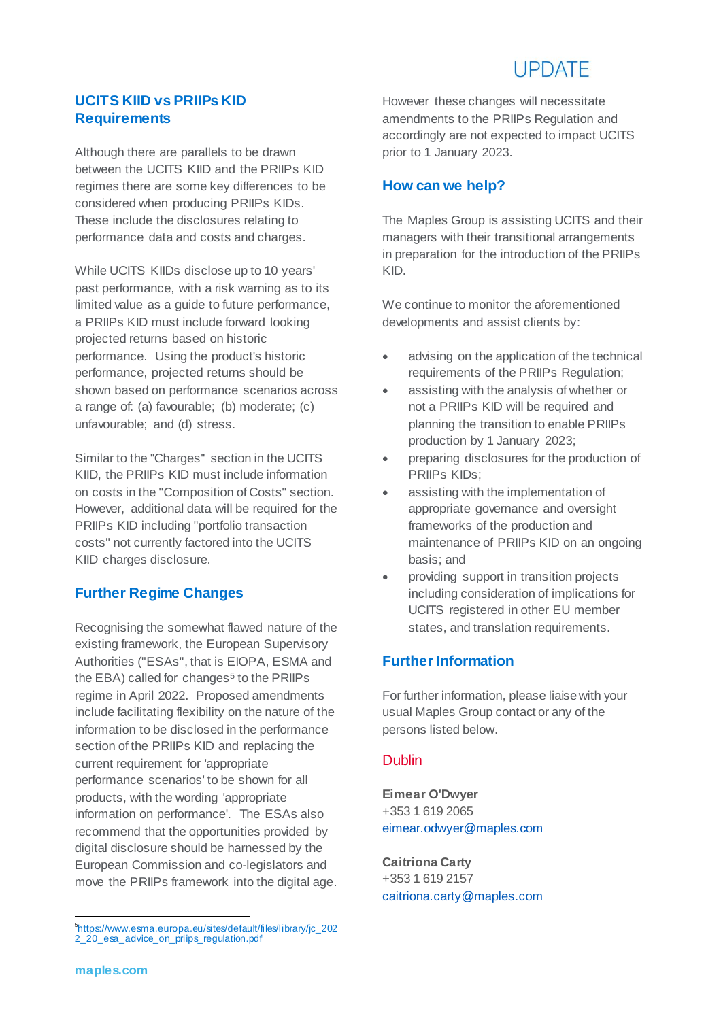# **LIPDATE**

## **UCITS KIID vs PRIIPs KID Requirements**

Although there are parallels to be drawn between the UCITS KIID and the PRIIPs KID regimes there are some key differences to be considered when producing PRIIPs KIDs. These include the disclosures relating to performance data and costs and charges.

While UCITS KIIDs disclose up to 10 years' past performance, with a risk warning as to its limited value as a guide to future performance, a PRIIPs KID must include forward looking projected returns based on historic performance. Using the product's historic performance, projected returns should be shown based on performance scenarios across a range of: (a) favourable; (b) moderate; (c) unfavourable; and (d) stress.

Similar to the "Charges" section in the UCITS KIID, the PRIIPs KID must include information on costs in the "Composition of Costs" section. However, additional data will be required for the PRIIPs KID including "portfolio transaction costs" not currently factored into the UCITS KIID charges disclosure.

# **Further Regime Changes**

Recognising the somewhat flawed nature of the existing framework, the European Supervisory Authorities ("ESAs", that is EIOPA, ESMA and the EBA) called for [changes](https://www.esma.europa.eu/sites/default/files/library/jc_2022_20_esa_advice_on_priips_regulation.pdf)<sup>5</sup> to the PRIIPs regime in April 2022. Proposed amendments include facilitating flexibility on the nature of the information to be disclosed in the performance section of the PRIIPs KID and replacing the current requirement for 'appropriate performance scenarios' to be shown for all products, with the wording 'appropriate information on performance'. The ESAs also recommend that the opportunities provided by digital disclosure should be harnessed by the European Commission and co-legislators and move the PRIIPs framework into the digital age. However these changes will necessitate amendments to the PRIIPs Regulation and accordingly are not expected to impact UCITS prior to 1 January 2023.

### **How can we help?**

The Maples Group is assisting UCITS and their managers with their transitional arrangements in preparation for the introduction of the PRIIPs KID.

We continue to monitor the aforementioned developments and assist clients by:

- advising on the application of the technical requirements of the PRIIPs Regulation;
- assisting with the analysis of whether or not a PRIIPs KID will be required and planning the transition to enable PRIIPs production by 1 January 2023;
- preparing disclosures for the production of PRIIPs KIDs;
- assisting with the implementation of appropriate governance and oversight frameworks of the production and maintenance of PRIIPs KID on an ongoing basis; and
- providing support in transition projects including consideration of implications for UCITS registered in other EU member states, and translation requirements.

# **Further Information**

For further information, please liaise with your usual Maples Group contact or any of the persons listed below.

#### Dublin

**Eimear O'Dwyer** +353 1 619 2065 [eimear.odwyer@maples.com](mailto:eimear.odwyer@maples.com)

**Caitriona Carty** +353 1 619 2157 [caitriona.carty@maples.com](mailto:caitriona.carty@maples.com)

s<br><sup>5</sup>https://www.esma.europa.eu/sites/default/files/library/jc\_202 2\_20\_esa\_advice\_on\_priips\_regulation.pdf